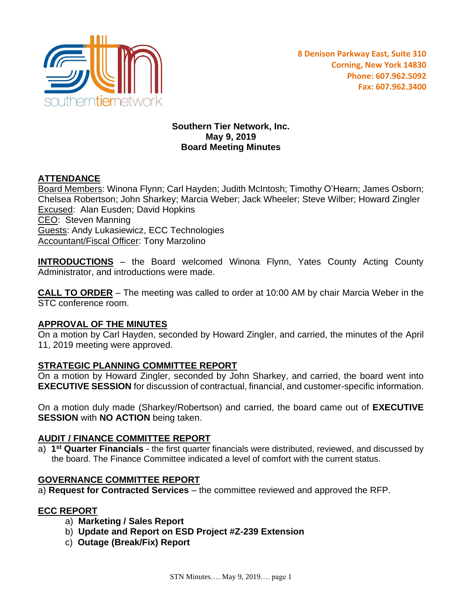

## **Southern Tier Network, Inc. May 9, 2019 Board Meeting Minutes**

## **ATTENDANCE**

Board Members: Winona Flynn; Carl Hayden; Judith McIntosh; Timothy O'Hearn; James Osborn; Chelsea Robertson; John Sharkey; Marcia Weber; Jack Wheeler; Steve Wilber; Howard Zingler **Excused: Alan Eusden; David Hopkins** CEO: Steven Manning Guests: Andy Lukasiewicz, ECC Technologies **Accountant/Fiscal Officer: Tony Marzolino** 

**INTRODUCTIONS** – the Board welcomed Winona Flynn, Yates County Acting County Administrator, and introductions were made.

**CALL TO ORDER** – The meeting was called to order at 10:00 AM by chair Marcia Weber in the STC conference room.

### **APPROVAL OF THE MINUTES**

On a motion by Carl Hayden, seconded by Howard Zingler, and carried, the minutes of the April 11, 2019 meeting were approved.

### **STRATEGIC PLANNING COMMITTEE REPORT**

On a motion by Howard Zingler, seconded by John Sharkey, and carried, the board went into **EXECUTIVE SESSION** for discussion of contractual, financial, and customer-specific information.

On a motion duly made (Sharkey/Robertson) and carried, the board came out of **EXECUTIVE SESSION** with **NO ACTION** being taken.

### **AUDIT / FINANCE COMMITTEE REPORT**

a) **1 st Quarter Financials** - the first quarter financials were distributed, reviewed, and discussed by the board. The Finance Committee indicated a level of comfort with the current status.

#### **GOVERNANCE COMMITTEE REPORT**

a) **Request for Contracted Services** – the committee reviewed and approved the RFP.

#### **ECC REPORT**

- a) **Marketing / Sales Report**
- b) **Update and Report on ESD Project #Z-239 Extension**
- c) **Outage (Break/Fix) Report**